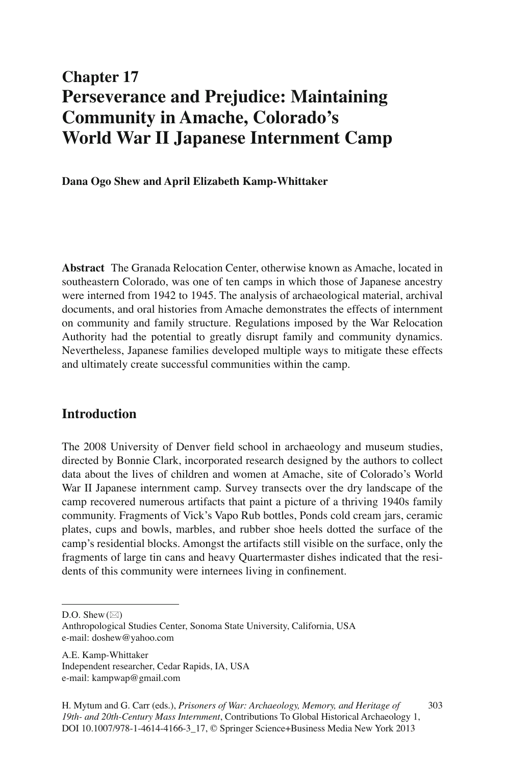# **Chapter 17 Perseverance and Prejudice: Maintaining Community in Amache, Colorado's World War II Japanese Internment Camp**

 **Dana Ogo Shew and April Elizabeth Kamp-Whittaker** 

 **Abstract** The Granada Relocation Center, otherwise known as Amache, located in southeastern Colorado, was one of ten camps in which those of Japanese ancestry were interned from 1942 to 1945. The analysis of archaeological material, archival documents, and oral histories from Amache demonstrates the effects of internment on community and family structure. Regulations imposed by the War Relocation Authority had the potential to greatly disrupt family and community dynamics. Nevertheless, Japanese families developed multiple ways to mitigate these effects and ultimately create successful communities within the camp.

## **Introduction**

The 2008 University of Denver field school in archaeology and museum studies, directed by Bonnie Clark, incorporated research designed by the authors to collect data about the lives of children and women at Amache, site of Colorado's World War II Japanese internment camp. Survey transects over the dry landscape of the camp recovered numerous artifacts that paint a picture of a thriving 1940s family community. Fragments of Vick's Vapo Rub bottles, Ponds cold cream jars, ceramic plates, cups and bowls, marbles, and rubber shoe heels dotted the surface of the camp's residential blocks. Amongst the artifacts still visible on the surface, only the fragments of large tin cans and heavy Quartermaster dishes indicated that the residents of this community were internees living in confinement.

D.O. Shew  $(\boxtimes)$ 

 A.E. Kamp-Whittaker Independent researcher, Cedar Rapids, IA, USA e-mail: kampwap@gmail.com

H. Mytum and G. Carr (eds.), *Prisoners of War: Archaeology, Memory, and Heritage of* 303 *19th- and 20th-Century Mass Internment*, Contributions To Global Historical Archaeology 1, DOI 10.1007/978-1-4614-4166-3\_17, © Springer Science+Business Media New York 2013

Anthropological Studies Center, Sonoma State University, California, USA e-mail: doshew@yahoo.com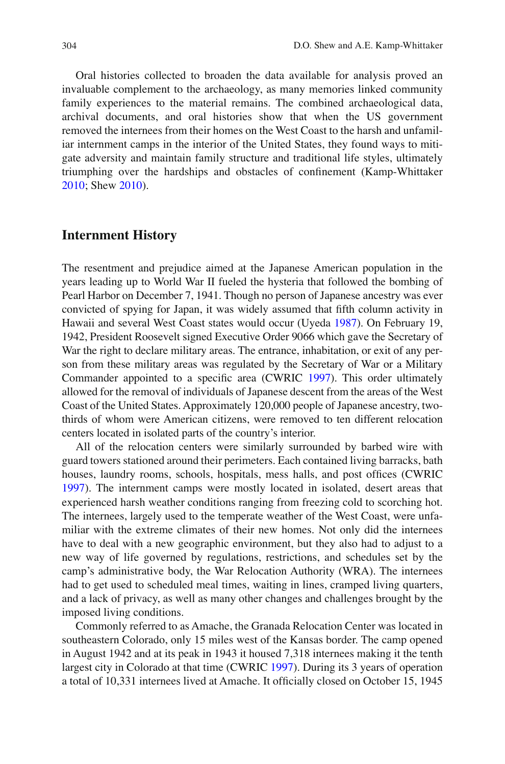Oral histories collected to broaden the data available for analysis proved an invaluable complement to the archaeology, as many memories linked community family experiences to the material remains. The combined archaeological data, archival documents, and oral histories show that when the US government removed the internees from their homes on the West Coast to the harsh and unfamiliar internment camps in the interior of the United States, they found ways to mitigate adversity and maintain family structure and traditional life styles, ultimately triumphing over the hardships and obstacles of confinement (Kamp-Whittaker 2010; Shew 2010).

### **Internment History**

 The resentment and prejudice aimed at the Japanese American population in the years leading up to World War II fueled the hysteria that followed the bombing of Pearl Harbor on December 7, 1941. Though no person of Japanese ancestry was ever convicted of spying for Japan, it was widely assumed that fifth column activity in Hawaii and several West Coast states would occur (Uyeda 1987). On February 19, 1942, President Roosevelt signed Executive Order 9066 which gave the Secretary of War the right to declare military areas. The entrance, inhabitation, or exit of any person from these military areas was regulated by the Secretary of War or a Military Commander appointed to a specific area (CWRIC 1997). This order ultimately allowed for the removal of individuals of Japanese descent from the areas of the West Coast of the United States. Approximately 120,000 people of Japanese ancestry, twothirds of whom were American citizens, were removed to ten different relocation centers located in isolated parts of the country's interior.

 All of the relocation centers were similarly surrounded by barbed wire with guard towers stationed around their perimeters. Each contained living barracks, bath houses, laundry rooms, schools, hospitals, mess halls, and post offices (CWRIC 1997). The internment camps were mostly located in isolated, desert areas that experienced harsh weather conditions ranging from freezing cold to scorching hot. The internees, largely used to the temperate weather of the West Coast, were unfamiliar with the extreme climates of their new homes. Not only did the internees have to deal with a new geographic environment, but they also had to adjust to a new way of life governed by regulations, restrictions, and schedules set by the camp's administrative body, the War Relocation Authority (WRA). The internees had to get used to scheduled meal times, waiting in lines, cramped living quarters, and a lack of privacy, as well as many other changes and challenges brought by the imposed living conditions.

 Commonly referred to as Amache, the Granada Relocation Center was located in southeastern Colorado, only 15 miles west of the Kansas border. The camp opened in August 1942 and at its peak in 1943 it housed 7,318 internees making it the tenth largest city in Colorado at that time (CWRIC [1997](#page-14-0)). During its 3 years of operation a total of 10,331 internees lived at Amache. It officially closed on October 15, 1945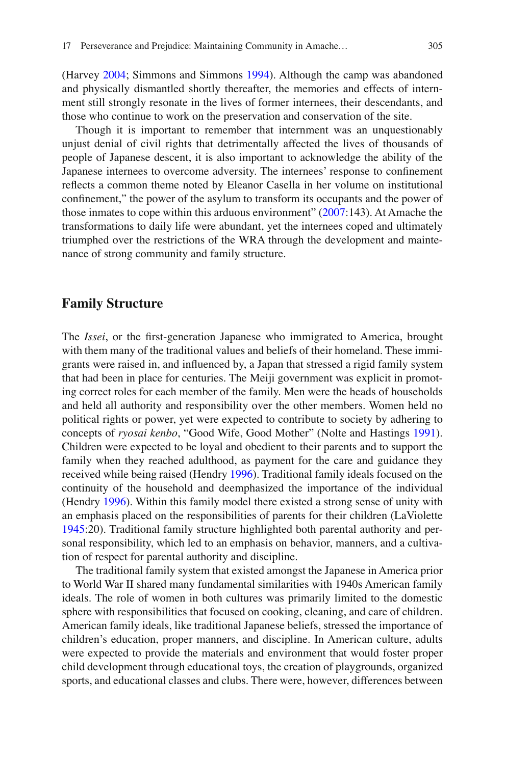(Harvey 2004; Simmons and Simmons 1994). Although the camp was abandoned and physically dismantled shortly thereafter, the memories and effects of internment still strongly resonate in the lives of former internees, their descendants, and those who continue to work on the preservation and conservation of the site.

 Though it is important to remember that internment was an unquestionably unjust denial of civil rights that detrimentally affected the lives of thousands of people of Japanese descent, it is also important to acknowledge the ability of the Japanese internees to overcome adversity. The internees' response to confinement reflects a common theme noted by Eleanor Casella in her volume on institutional confinement," the power of the asylum to transform its occupants and the power of those inmates to cope within this arduous environment" (2007:143). At Amache the transformations to daily life were abundant, yet the internees coped and ultimately triumphed over the restrictions of the WRA through the development and maintenance of strong community and family structure.

#### **Family Structure**

The *Issei*, or the first-generation Japanese who immigrated to America, brought with them many of the traditional values and beliefs of their homeland. These immigrants were raised in, and influenced by, a Japan that stressed a rigid family system that had been in place for centuries. The Meiji government was explicit in promoting correct roles for each member of the family. Men were the heads of households and held all authority and responsibility over the other members. Women held no political rights or power, yet were expected to contribute to society by adhering to concepts of *ryosai kenbo*, "Good Wife, Good Mother" (Nolte and Hastings 1991). Children were expected to be loyal and obedient to their parents and to support the family when they reached adulthood, as payment for the care and guidance they received while being raised (Hendry [1996](#page-14-0)). Traditional family ideals focused on the continuity of the household and deemphasized the importance of the individual (Hendry 1996). Within this family model there existed a strong sense of unity with an emphasis placed on the responsibilities of parents for their children (LaViolette [1945 :](#page-14-0)20). Traditional family structure highlighted both parental authority and personal responsibility, which led to an emphasis on behavior, manners, and a cultivation of respect for parental authority and discipline.

 The traditional family system that existed amongst the Japanese in America prior to World War II shared many fundamental similarities with 1940s American family ideals. The role of women in both cultures was primarily limited to the domestic sphere with responsibilities that focused on cooking, cleaning, and care of children. American family ideals, like traditional Japanese beliefs, stressed the importance of children's education, proper manners, and discipline. In American culture, adults were expected to provide the materials and environment that would foster proper child development through educational toys, the creation of playgrounds, organized sports, and educational classes and clubs. There were, however, differences between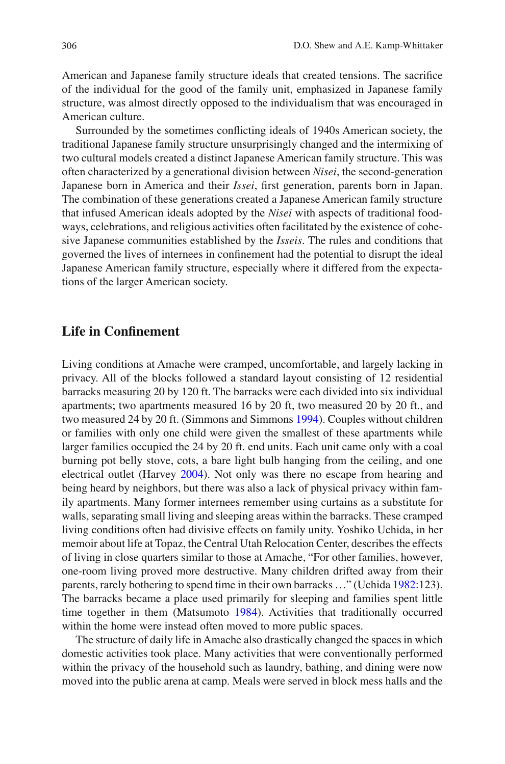American and Japanese family structure ideals that created tensions. The sacrifice of the individual for the good of the family unit, emphasized in Japanese family structure, was almost directly opposed to the individualism that was encouraged in American culture.

Surrounded by the sometimes conflicting ideals of 1940s American society, the traditional Japanese family structure unsurprisingly changed and the intermixing of two cultural models created a distinct Japanese American family structure. This was often characterized by a generational division between *Nisei* , the second-generation Japanese born in America and their *Issei*, first generation, parents born in Japan. The combination of these generations created a Japanese American family structure that infused American ideals adopted by the *Nisei* with aspects of traditional foodways, celebrations, and religious activities often facilitated by the existence of cohesive Japanese communities established by the *Isseis* . The rules and conditions that governed the lives of internees in confinement had the potential to disrupt the ideal Japanese American family structure, especially where it differed from the expectations of the larger American society.

### **Life in Confinement**

 Living conditions at Amache were cramped, uncomfortable, and largely lacking in privacy. All of the blocks followed a standard layout consisting of 12 residential barracks measuring 20 by 120 ft. The barracks were each divided into six individual apartments; two apartments measured 16 by 20 ft, two measured 20 by 20 ft., and two measured 24 by 20 ft. (Simmons and Simmons [1994](#page-14-0)). Couples without children or families with only one child were given the smallest of these apartments while larger families occupied the 24 by 20 ft. end units. Each unit came only with a coal burning pot belly stove, cots, a bare light bulb hanging from the ceiling, and one electrical outlet (Harvey [2004](#page-14-0)). Not only was there no escape from hearing and being heard by neighbors, but there was also a lack of physical privacy within family apartments. Many former internees remember using curtains as a substitute for walls, separating small living and sleeping areas within the barracks. These cramped living conditions often had divisive effects on family unity. Yoshiko Uchida, in her memoir about life at Topaz, the Central Utah Relocation Center, describes the effects of living in close quarters similar to those at Amache, "For other families, however, one-room living proved more destructive. Many children drifted away from their parents, rarely bothering to spend time in their own barracks ..." (Uchida 1982:123). The barracks became a place used primarily for sleeping and families spent little time together in them (Matsumoto [1984](#page-14-0)). Activities that traditionally occurred within the home were instead often moved to more public spaces.

 The structure of daily life in Amache also drastically changed the spaces in which domestic activities took place. Many activities that were conventionally performed within the privacy of the household such as laundry, bathing, and dining were now moved into the public arena at camp. Meals were served in block mess halls and the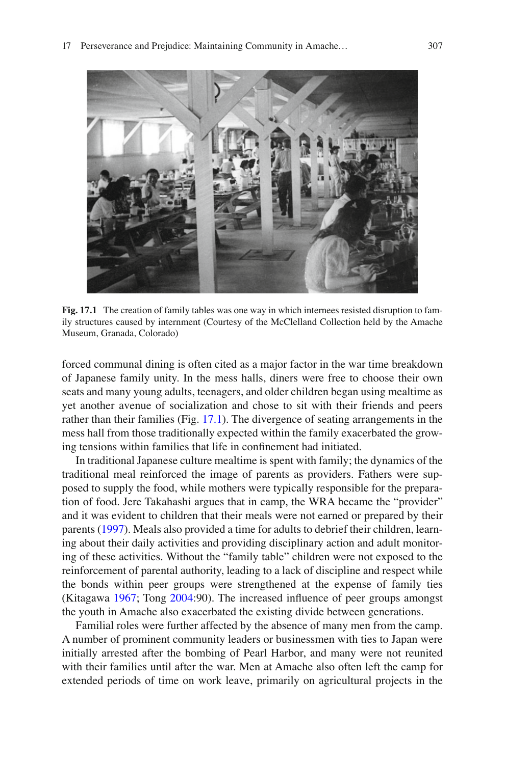

**Fig. 17.1** The creation of family tables was one way in which internees resisted disruption to family structures caused by internment (Courtesy of the McClelland Collection held by the Amache Museum, Granada, Colorado)

forced communal dining is often cited as a major factor in the war time breakdown of Japanese family unity. In the mess halls, diners were free to choose their own seats and many young adults, teenagers, and older children began using mealtime as yet another avenue of socialization and chose to sit with their friends and peers rather than their families (Fig. 17.1). The divergence of seating arrangements in the mess hall from those traditionally expected within the family exacerbated the growing tensions within families that life in confinement had initiated.

 In traditional Japanese culture mealtime is spent with family; the dynamics of the traditional meal reinforced the image of parents as providers. Fathers were supposed to supply the food, while mothers were typically responsible for the preparation of food. Jere Takahashi argues that in camp, the WRA became the "provider" and it was evident to children that their meals were not earned or prepared by their parents (1997). Meals also provided a time for adults to debrief their children, learning about their daily activities and providing disciplinary action and adult monitoring of these activities. Without the "family table" children were not exposed to the reinforcement of parental authority, leading to a lack of discipline and respect while the bonds within peer groups were strengthened at the expense of family ties (Kitagawa  $1967$ ; Tong  $2004:90$  $2004:90$ ). The increased influence of peer groups amongst the youth in Amache also exacerbated the existing divide between generations.

 Familial roles were further affected by the absence of many men from the camp. A number of prominent community leaders or businessmen with ties to Japan were initially arrested after the bombing of Pearl Harbor, and many were not reunited with their families until after the war. Men at Amache also often left the camp for extended periods of time on work leave, primarily on agricultural projects in the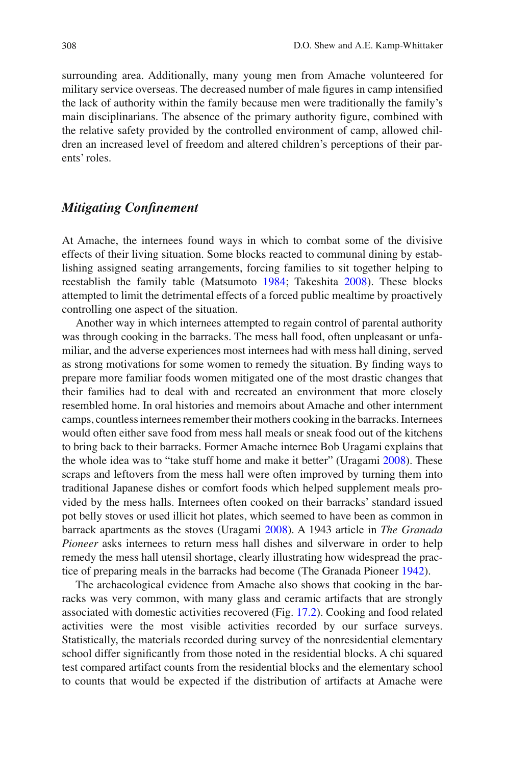surrounding area. Additionally, many young men from Amache volunteered for military service overseas. The decreased number of male figures in camp intensified the lack of authority within the family because men were traditionally the family's main disciplinarians. The absence of the primary authority figure, combined with the relative safety provided by the controlled environment of camp, allowed children an increased level of freedom and altered children's perceptions of their parents' roles.

### *Mitigating Con fi nement*

 At Amache, the internees found ways in which to combat some of the divisive effects of their living situation. Some blocks reacted to communal dining by establishing assigned seating arrangements, forcing families to sit together helping to reestablish the family table (Matsumoto 1984; Takeshita 2008). These blocks attempted to limit the detrimental effects of a forced public mealtime by proactively controlling one aspect of the situation.

 Another way in which internees attempted to regain control of parental authority was through cooking in the barracks. The mess hall food, often unpleasant or unfamiliar, and the adverse experiences most internees had with mess hall dining, served as strong motivations for some women to remedy the situation. By finding ways to prepare more familiar foods women mitigated one of the most drastic changes that their families had to deal with and recreated an environment that more closely resembled home. In oral histories and memoirs about Amache and other internment camps, countless internees remember their mothers cooking in the barracks. Internees would often either save food from mess hall meals or sneak food out of the kitchens to bring back to their barracks. Former Amache internee Bob Uragami explains that the whole idea was to "take stuff home and make it better" (Uragami [2008](#page-14-0)). These scraps and leftovers from the mess hall were often improved by turning them into traditional Japanese dishes or comfort foods which helped supplement meals provided by the mess halls. Internees often cooked on their barracks' standard issued pot belly stoves or used illicit hot plates, which seemed to have been as common in barrack apartments as the stoves (Uragami [2008](#page-14-0) ) . A 1943 article in *The Granada Pioneer* asks internees to return mess hall dishes and silverware in order to help remedy the mess hall utensil shortage, clearly illustrating how widespread the prac-tice of preparing meals in the barracks had become (The Granada Pioneer [1942](#page-14-0)).

 The archaeological evidence from Amache also shows that cooking in the barracks was very common, with many glass and ceramic artifacts that are strongly associated with domestic activities recovered (Fig. [17.2 \)](#page-6-0). Cooking and food related activities were the most visible activities recorded by our surface surveys. Statistically, the materials recorded during survey of the nonresidential elementary school differ significantly from those noted in the residential blocks. A chi squared test compared artifact counts from the residential blocks and the elementary school to counts that would be expected if the distribution of artifacts at Amache were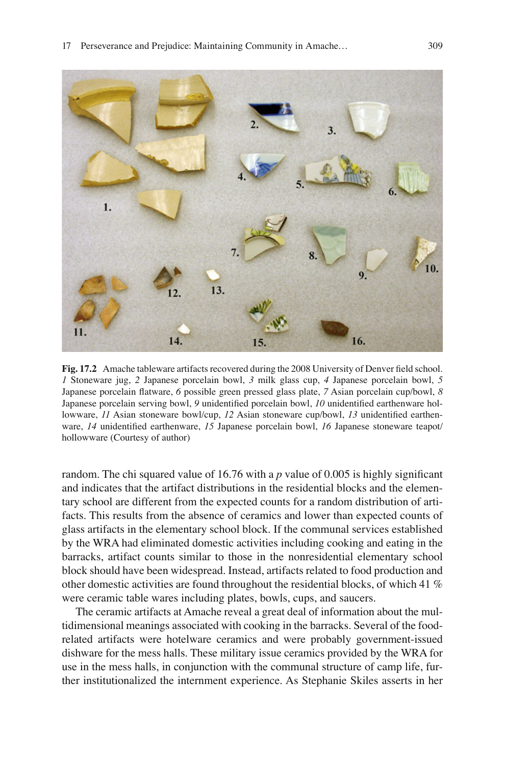<span id="page-6-0"></span>

**Fig. 17.2** Amache tableware artifacts recovered during the 2008 University of Denver field school. *1* Stoneware jug, *2* Japanese porcelain bowl, *3* milk glass cup, *4* Japanese porcelain bowl, *5* Japanese porcelain flatware, 6 possible green pressed glass plate, 7 Asian porcelain cup/bowl, 8 Japanese porcelain serving bowl, 9 unidentified porcelain bowl, 10 unidentified earthenware hollowware, *11* Asian stoneware bowl/cup, *12* Asian stoneware cup/bowl, *13* unidentified earthenware, 14 unidentified earthenware, 15 Japanese porcelain bowl, 16 Japanese stoneware teapot/ hollowware (Courtesy of author)

random. The chi squared value of  $16.76$  with a *p* value of 0.005 is highly significant and indicates that the artifact distributions in the residential blocks and the elementary school are different from the expected counts for a random distribution of artifacts. This results from the absence of ceramics and lower than expected counts of glass artifacts in the elementary school block. If the communal services established by the WRA had eliminated domestic activities including cooking and eating in the barracks, artifact counts similar to those in the nonresidential elementary school block should have been widespread. Instead, artifacts related to food production and other domestic activities are found throughout the residential blocks, of which 41 % were ceramic table wares including plates, bowls, cups, and saucers.

 The ceramic artifacts at Amache reveal a great deal of information about the multidimensional meanings associated with cooking in the barracks. Several of the foodrelated artifacts were hotelware ceramics and were probably government-issued dishware for the mess halls. These military issue ceramics provided by the WRA for use in the mess halls, in conjunction with the communal structure of camp life, further institutionalized the internment experience. As Stephanie Skiles asserts in her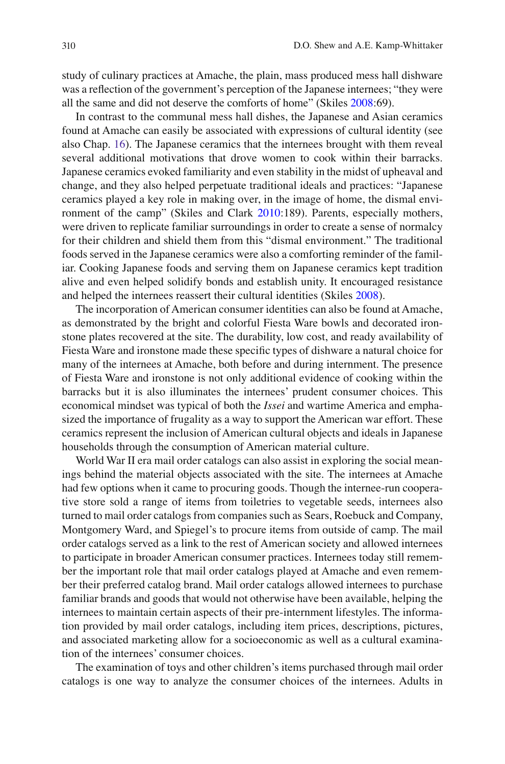study of culinary practices at Amache, the plain, mass produced mess hall dishware was a reflection of the government's perception of the Japanese internees; "they were all the same and did not deserve the comforts of home" (Skiles [2008](#page-14-0):69).

 In contrast to the communal mess hall dishes, the Japanese and Asian ceramics found at Amache can easily be associated with expressions of cultural identity (see also Chap. [16](http://dx.doi.org/10.1007/978-1-4614-4166-3_16)). The Japanese ceramics that the internees brought with them reveal several additional motivations that drove women to cook within their barracks. Japanese ceramics evoked familiarity and even stability in the midst of upheaval and change, and they also helped perpetuate traditional ideals and practices: "Japanese ceramics played a key role in making over, in the image of home, the dismal envi-ronment of the camp" (Skiles and Clark [2010](#page-14-0):189). Parents, especially mothers, were driven to replicate familiar surroundings in order to create a sense of normalcy for their children and shield them from this "dismal environment." The traditional foods served in the Japanese ceramics were also a comforting reminder of the familiar. Cooking Japanese foods and serving them on Japanese ceramics kept tradition alive and even helped solidify bonds and establish unity. It encouraged resistance and helped the internees reassert their cultural identities (Skiles 2008).

 The incorporation of American consumer identities can also be found at Amache, as demonstrated by the bright and colorful Fiesta Ware bowls and decorated ironstone plates recovered at the site. The durability, low cost, and ready availability of Fiesta Ware and ironstone made these specific types of dishware a natural choice for many of the internees at Amache, both before and during internment. The presence of Fiesta Ware and ironstone is not only additional evidence of cooking within the barracks but it is also illuminates the internees' prudent consumer choices. This economical mindset was typical of both the *Issei* and wartime America and emphasized the importance of frugality as a way to support the American war effort. These ceramics represent the inclusion of American cultural objects and ideals in Japanese households through the consumption of American material culture.

 World War II era mail order catalogs can also assist in exploring the social meanings behind the material objects associated with the site. The internees at Amache had few options when it came to procuring goods. Though the internee-run cooperative store sold a range of items from toiletries to vegetable seeds, internees also turned to mail order catalogs from companies such as Sears, Roebuck and Company, Montgomery Ward, and Spiegel's to procure items from outside of camp. The mail order catalogs served as a link to the rest of American society and allowed internees to participate in broader American consumer practices. Internees today still remember the important role that mail order catalogs played at Amache and even remember their preferred catalog brand. Mail order catalogs allowed internees to purchase familiar brands and goods that would not otherwise have been available, helping the internees to maintain certain aspects of their pre-internment lifestyles. The information provided by mail order catalogs, including item prices, descriptions, pictures, and associated marketing allow for a socioeconomic as well as a cultural examination of the internees' consumer choices.

 The examination of toys and other children's items purchased through mail order catalogs is one way to analyze the consumer choices of the internees. Adults in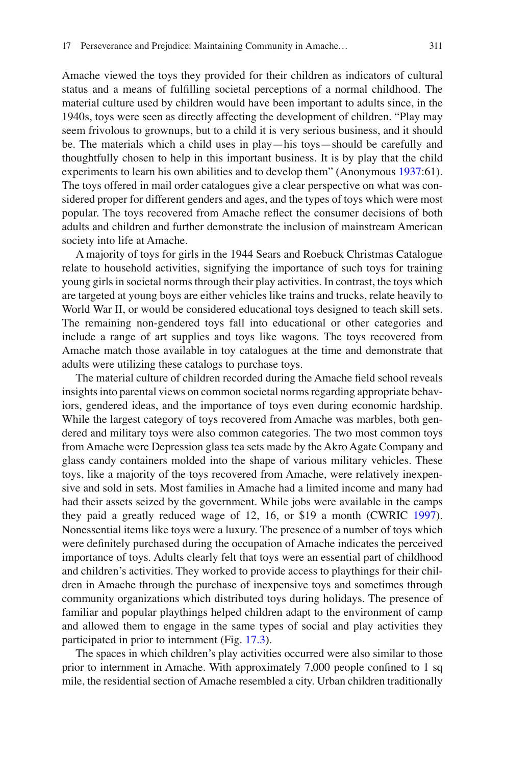Amache viewed the toys they provided for their children as indicators of cultural status and a means of fulfilling societal perceptions of a normal childhood. The material culture used by children would have been important to adults since, in the 1940s, toys were seen as directly affecting the development of children. "Play may seem frivolous to grownups, but to a child it is very serious business, and it should be. The materials which a child uses in play—his toys—should be carefully and thoughtfully chosen to help in this important business. It is by play that the child experiments to learn his own abilities and to develop them" (Anonymous [1937 :](#page-14-0)61). The toys offered in mail order catalogues give a clear perspective on what was considered proper for different genders and ages, and the types of toys which were most popular. The toys recovered from Amache reflect the consumer decisions of both adults and children and further demonstrate the inclusion of mainstream American society into life at Amache.

 A majority of toys for girls in the 1944 Sears and Roebuck Christmas Catalogue relate to household activities, signifying the importance of such toys for training young girls in societal norms through their play activities. In contrast, the toys which are targeted at young boys are either vehicles like trains and trucks, relate heavily to World War II, or would be considered educational toys designed to teach skill sets. The remaining non-gendered toys fall into educational or other categories and include a range of art supplies and toys like wagons. The toys recovered from Amache match those available in toy catalogues at the time and demonstrate that adults were utilizing these catalogs to purchase toys.

The material culture of children recorded during the Amache field school reveals insights into parental views on common societal norms regarding appropriate behaviors, gendered ideas, and the importance of toys even during economic hardship. While the largest category of toys recovered from Amache was marbles, both gendered and military toys were also common categories. The two most common toys from Amache were Depression glass tea sets made by the Akro Agate Company and glass candy containers molded into the shape of various military vehicles. These toys, like a majority of the toys recovered from Amache, were relatively inexpensive and sold in sets. Most families in Amache had a limited income and many had had their assets seized by the government. While jobs were available in the camps they paid a greatly reduced wage of  $12$ ,  $16$ , or \$19 a month (CWRIC 1997). Nonessential items like toys were a luxury. The presence of a number of toys which were definitely purchased during the occupation of Amache indicates the perceived importance of toys. Adults clearly felt that toys were an essential part of childhood and children's activities. They worked to provide access to playthings for their children in Amache through the purchase of inexpensive toys and sometimes through community organizations which distributed toys during holidays. The presence of familiar and popular playthings helped children adapt to the environment of camp and allowed them to engage in the same types of social and play activities they participated in prior to internment (Fig. [17.3](#page-9-0)).

 The spaces in which children's play activities occurred were also similar to those prior to internment in Amache. With approximately 7,000 people confined to 1 sq mile, the residential section of Amache resembled a city. Urban children traditionally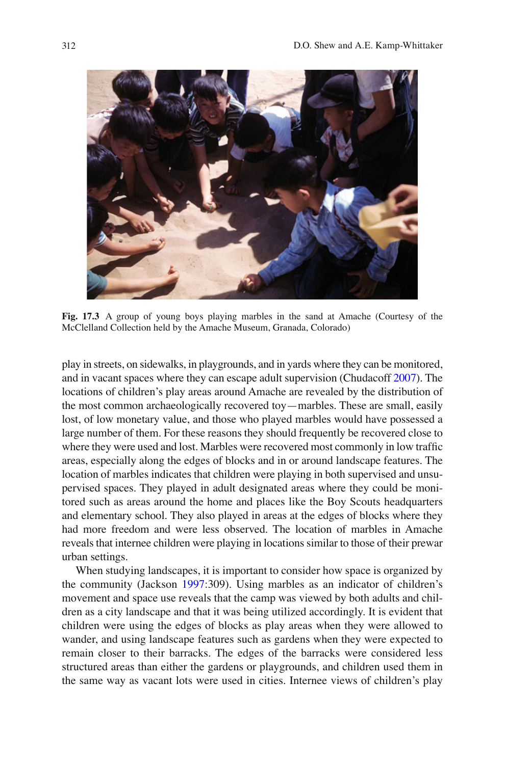<span id="page-9-0"></span>

 **Fig. 17.3** A group of young boys playing marbles in the sand at Amache (Courtesy of the McClelland Collection held by the Amache Museum, Granada, Colorado)

play in streets, on sidewalks, in playgrounds, and in yards where they can be monitored, and in vacant spaces where they can escape adult supervision (Chudacoff [2007](#page-14-0)). The locations of children's play areas around Amache are revealed by the distribution of the most common archaeologically recovered toy—marbles. These are small, easily lost, of low monetary value, and those who played marbles would have possessed a large number of them. For these reasons they should frequently be recovered close to where they were used and lost. Marbles were recovered most commonly in low traffic areas, especially along the edges of blocks and in or around landscape features. The location of marbles indicates that children were playing in both supervised and unsupervised spaces. They played in adult designated areas where they could be monitored such as areas around the home and places like the Boy Scouts headquarters and elementary school. They also played in areas at the edges of blocks where they had more freedom and were less observed. The location of marbles in Amache reveals that internee children were playing in locations similar to those of their prewar urban settings.

 When studying landscapes, it is important to consider how space is organized by the community (Jackson [1997](#page-14-0):309). Using marbles as an indicator of children's movement and space use reveals that the camp was viewed by both adults and children as a city landscape and that it was being utilized accordingly. It is evident that children were using the edges of blocks as play areas when they were allowed to wander, and using landscape features such as gardens when they were expected to remain closer to their barracks. The edges of the barracks were considered less structured areas than either the gardens or playgrounds, and children used them in the same way as vacant lots were used in cities. Internee views of children's play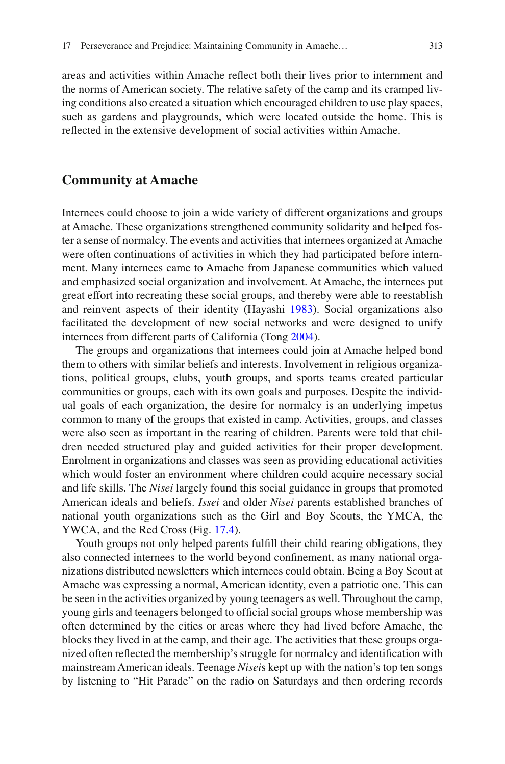areas and activities within Amache reflect both their lives prior to internment and the norms of American society. The relative safety of the camp and its cramped living conditions also created a situation which encouraged children to use play spaces, such as gardens and playgrounds, which were located outside the home. This is reflected in the extensive development of social activities within Amache.

#### **Community at Amache**

 Internees could choose to join a wide variety of different organizations and groups at Amache. These organizations strengthened community solidarity and helped foster a sense of normalcy. The events and activities that internees organized at Amache were often continuations of activities in which they had participated before internment. Many internees came to Amache from Japanese communities which valued and emphasized social organization and involvement. At Amache, the internees put great effort into recreating these social groups, and thereby were able to reestablish and reinvent aspects of their identity (Hayashi [1983](#page-14-0)). Social organizations also facilitated the development of new social networks and were designed to unify internees from different parts of California (Tong [2004](#page-14-0)).

 The groups and organizations that internees could join at Amache helped bond them to others with similar beliefs and interests. Involvement in religious organizations, political groups, clubs, youth groups, and sports teams created particular communities or groups, each with its own goals and purposes. Despite the individual goals of each organization, the desire for normalcy is an underlying impetus common to many of the groups that existed in camp. Activities, groups, and classes were also seen as important in the rearing of children. Parents were told that children needed structured play and guided activities for their proper development. Enrolment in organizations and classes was seen as providing educational activities which would foster an environment where children could acquire necessary social and life skills. The *Nisei* largely found this social guidance in groups that promoted American ideals and beliefs. *Issei* and older *Nisei* parents established branches of national youth organizations such as the Girl and Boy Scouts, the YMCA, the YWCA, and the Red Cross (Fig. [17.4](#page-11-0)).

Youth groups not only helped parents fulfill their child rearing obligations, they also connected internees to the world beyond confinement, as many national organizations distributed newsletters which internees could obtain. Being a Boy Scout at Amache was expressing a normal, American identity, even a patriotic one. This can be seen in the activities organized by young teenagers as well. Throughout the camp, young girls and teenagers belonged to official social groups whose membership was often determined by the cities or areas where they had lived before Amache, the blocks they lived in at the camp, and their age. The activities that these groups organized often reflected the membership's struggle for normalcy and identification with mainstream American ideals. Teenage *Nisei*s kept up with the nation's top ten songs by listening to "Hit Parade" on the radio on Saturdays and then ordering records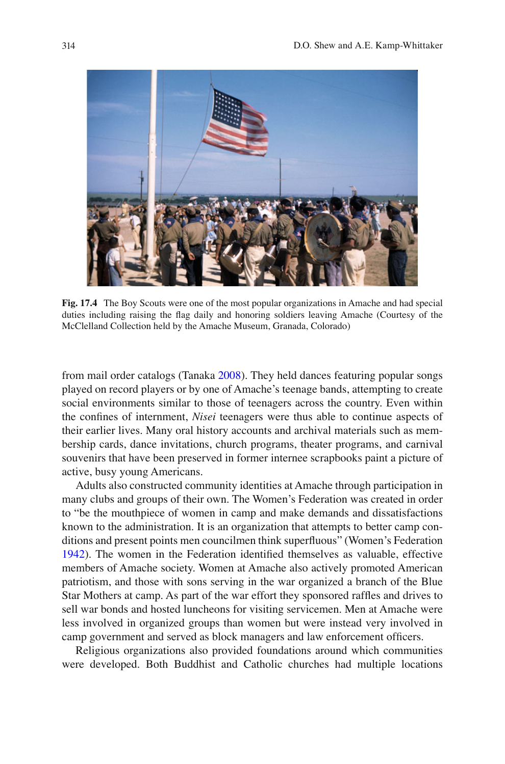<span id="page-11-0"></span>

 **Fig. 17.4** The Boy Scouts were one of the most popular organizations in Amache and had special duties including raising the flag daily and honoring soldiers leaving Amache (Courtesy of the McClelland Collection held by the Amache Museum, Granada, Colorado)

from mail order catalogs (Tanaka  $2008$ ). They held dances featuring popular songs played on record players or by one of Amache's teenage bands, attempting to create social environments similar to those of teenagers across the country. Even within the confines of internment, *Nisei* teenagers were thus able to continue aspects of their earlier lives. Many oral history accounts and archival materials such as membership cards, dance invitations, church programs, theater programs, and carnival souvenirs that have been preserved in former internee scrapbooks paint a picture of active, busy young Americans.

 Adults also constructed community identities at Amache through participation in many clubs and groups of their own. The Women's Federation was created in order to "be the mouthpiece of women in camp and make demands and dissatisfactions known to the administration. It is an organization that attempts to better camp conditions and present points men councilmen think superfluous" (Women's Federation 1942). The women in the Federation identified themselves as valuable, effective members of Amache society. Women at Amache also actively promoted American patriotism, and those with sons serving in the war organized a branch of the Blue Star Mothers at camp. As part of the war effort they sponsored raffles and drives to sell war bonds and hosted luncheons for visiting servicemen. Men at Amache were less involved in organized groups than women but were instead very involved in camp government and served as block managers and law enforcement officers.

 Religious organizations also provided foundations around which communities were developed. Both Buddhist and Catholic churches had multiple locations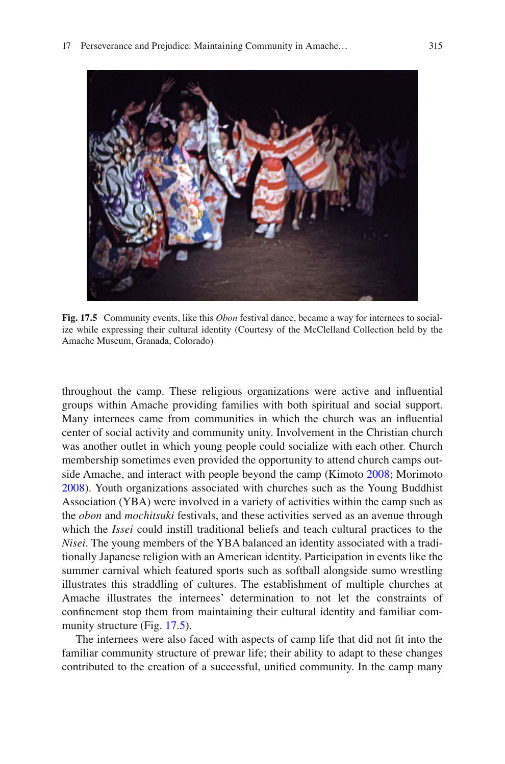

 **Fig. 17.5** Community events, like this *Obon* festival dance, became a way for internees to socialize while expressing their cultural identity (Courtesy of the McClelland Collection held by the Amache Museum, Granada, Colorado)

throughout the camp. These religious organizations were active and influential groups within Amache providing families with both spiritual and social support. Many internees came from communities in which the church was an influential center of social activity and community unity. Involvement in the Christian church was another outlet in which young people could socialize with each other. Church membership sometimes even provided the opportunity to attend church camps out-side Amache, and interact with people beyond the camp (Kimoto [2008](#page-14-0); Morimoto 2008). Youth organizations associated with churches such as the Young Buddhist Association (YBA) were involved in a variety of activities within the camp such as the *obon* and *mochitsuki* festivals, and these activities served as an avenue through which the *Issei* could instill traditional beliefs and teach cultural practices to the *Nisei* . The young members of the YBA balanced an identity associated with a traditionally Japanese religion with an American identity. Participation in events like the summer carnival which featured sports such as softball alongside sumo wrestling illustrates this straddling of cultures. The establishment of multiple churches at Amache illustrates the internees' determination to not let the constraints of confinement stop them from maintaining their cultural identity and familiar community structure (Fig. 17.5).

The internees were also faced with aspects of camp life that did not fit into the familiar community structure of prewar life; their ability to adapt to these changes contributed to the creation of a successful, unified community. In the camp many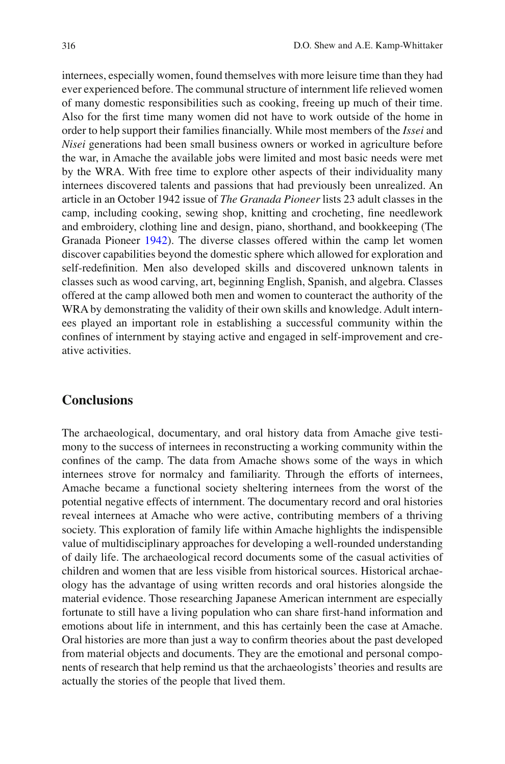internees, especially women, found themselves with more leisure time than they had ever experienced before. The communal structure of internment life relieved women of many domestic responsibilities such as cooking, freeing up much of their time. Also for the first time many women did not have to work outside of the home in order to help support their families financially. While most members of the *Issei* and *Nisei* generations had been small business owners or worked in agriculture before the war, in Amache the available jobs were limited and most basic needs were met by the WRA. With free time to explore other aspects of their individuality many internees discovered talents and passions that had previously been unrealized. An article in an October 1942 issue of *The Granada Pioneer* lists 23 adult classes in the camp, including cooking, sewing shop, knitting and crocheting, fine needlework and embroidery, clothing line and design, piano, shorthand, and bookkeeping (The Granada Pioneer 1942). The diverse classes offered within the camp let women discover capabilities beyond the domestic sphere which allowed for exploration and self-redefinition. Men also developed skills and discovered unknown talents in classes such as wood carving, art, beginning English, Spanish, and algebra. Classes offered at the camp allowed both men and women to counteract the authority of the WRA by demonstrating the validity of their own skills and knowledge. Adult internees played an important role in establishing a successful community within the confines of internment by staying active and engaged in self-improvement and creative activities.

#### **Conclusions**

 The archaeological, documentary, and oral history data from Amache give testimony to the success of internees in reconstructing a working community within the confines of the camp. The data from Amache shows some of the ways in which internees strove for normalcy and familiarity. Through the efforts of internees, Amache became a functional society sheltering internees from the worst of the potential negative effects of internment. The documentary record and oral histories reveal internees at Amache who were active, contributing members of a thriving society. This exploration of family life within Amache highlights the indispensible value of multidisciplinary approaches for developing a well-rounded understanding of daily life. The archaeological record documents some of the casual activities of children and women that are less visible from historical sources. Historical archaeology has the advantage of using written records and oral histories alongside the material evidence. Those researching Japanese American internment are especially fortunate to still have a living population who can share first-hand information and emotions about life in internment, and this has certainly been the case at Amache. Oral histories are more than just a way to confirm theories about the past developed from material objects and documents. They are the emotional and personal components of research that help remind us that the archaeologists' theories and results are actually the stories of the people that lived them.